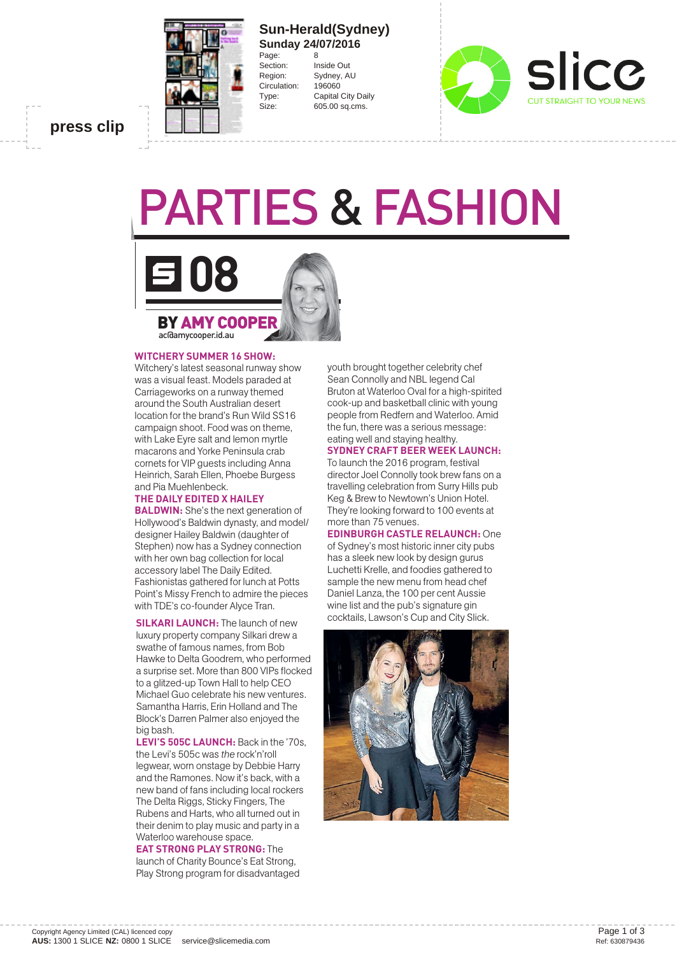

## **Sun-Herald(Sydney) Sunday 24/07/2016** Page:<br>Section:

**Inside Out** Region: Sydney, AU Circulation: 196060 Type: Capital City Daily Size: 605.00 sq.cms.



**press clip**

# PARTIES & FASHION



#### **WITCHERY SUMMER 16 SHOW:**

Witchery's latest seasonal runway show was a visual feast. Models paraded at Carriageworks on a runway themed around the South Australian desert location for the brand's Run Wild SS16 campaign shoot. Food was on theme, with Lake Eyre salt and lemon myrtle macarons and Yorke Peninsula crab cornets for VIP guests including Anna Heinrich, Sarah Ellen, Phoebe Burgess and Pia Muehlenbeck.

## **THE DAILY EDITED X HAILEY**

**BALDWIN:** She's the next generation of Hollywood's Baldwin dynasty, and model/ designer Hailey Baldwin (daughter of Stephen) now has a Sydney connection with her own bag collection for local accessory label The Daily Edited. Fashionistas gathered for lunch at Potts Point's Missy French to admire the pieces with TDE's co-founder Alyce Tran.

**SILKARI LAUNCH:** The launch of new luxury property company Silkari drew a swathe of famous names, from Bob Hawke to Delta Goodrem, who performed a surprise set. More than 800 VIPs flocked to a glitzed-up Town Hall to help CEO Michael Guo celebrate his new ventures. Samantha Harris, Erin Holland and The Block's Darren Palmer also enjoyed the big bash.

**LEVI'S 505C LAUNCH:** Back in the '70s, the Levi's 505c was *the* rock'n'roll legwear, worn onstage by Debbie Harry and the Ramones. Now it's back, with a new band of fans including local rockers The Delta Riggs, Sticky Fingers, The Rubens and Harts, who all turned out in their denim to play music and party in a Waterloo warehouse space.

#### **EAT STRONG PLAY STRONG:** The

launch of Charity Bounce's Eat Strong, Play Strong program for disadvantaged youth brought together celebrity chef Sean Connolly and NBL legend Cal Bruton at Waterloo Oval for a high-spirited cook-up and basketball clinic with young people from Redfern and Waterloo. Amid the fun, there was a serious message: eating well and staying healthy.

#### **SYDNEY CRAFT BEER WEEK LAUNCH:**

To launch the 2016 program, festival director Joel Connolly took brew fans on a travelling celebration from Surry Hills pub Keg & Brew to Newtown's Union Hotel. They're looking forward to 100 events at more than 75 venues.

**EDINBURGH CASTLE RELAUNCH:** One of Sydney's most historic inner city pubs has a sleek new look by design gurus Luchetti Krelle, and foodies gathered to sample the new menu from head chef Daniel Lanza, the 100 per cent Aussie wine list and the pub's signature gin cocktails, Lawson's Cup and City Slick.

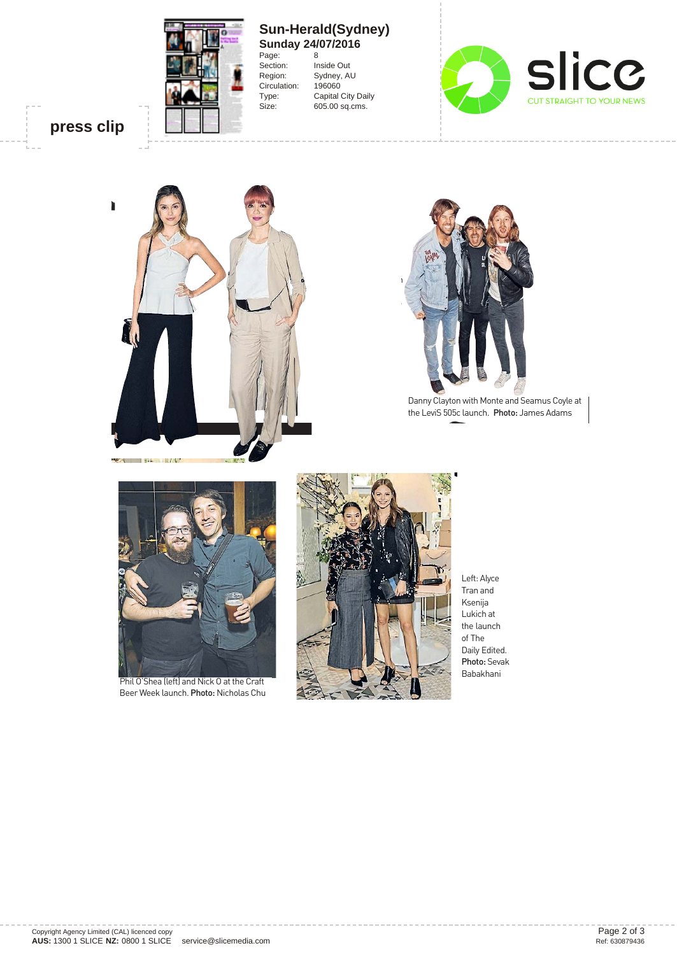

### **Sun-Herald(Sydney) Sunday 24/07/2016**

Page: 8<br>Section: In Inside Out Region: Sydney, AU<br>Circulation: 196060 Circulation: Type: Capital City Daily Size: 605.00 sq.cms.



**press clip**



![](_page_1_Picture_6.jpeg)

Danny Clayton with Monte and Seamus Coyle at the LeviS 505c launch. Photo: James Adams

![](_page_1_Picture_8.jpeg)

Phil O'Shea (left) and Nick O at the Craft Beer Week launch. Photo: Nicholas Chu

![](_page_1_Picture_10.jpeg)

Left: Alyce Tran and Ksenija Lukich at the launch of The Daily Edited. Photo: Sevak Babakhani